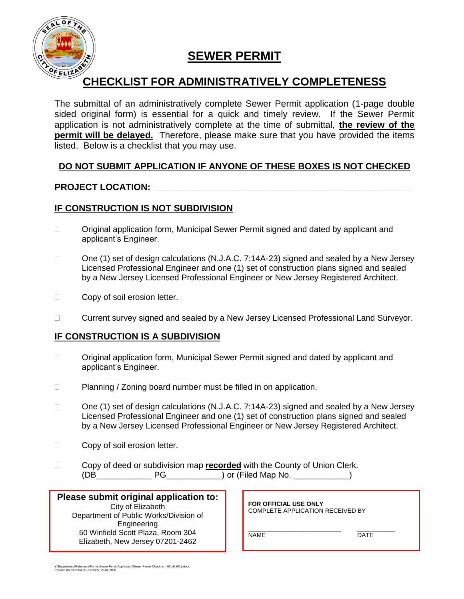

### **SEWER PERMIT**

# **OF ELIZASY**<br>CHECKLIST FOR ADMINISTRATIVELY COMPLETENESS

The submittal of an administratively complete Sewer Permit application (1-page double sided original form) is essential for a quick and timely review. If the Sewer Permit application is not administratively complete at the time of submittal, **the review of the permit will be delayed.** Therefore, please make sure that you have provided the items listed. Below is a checklist that you may use.

#### **DO NOT SUBMIT APPLICATION IF ANYONE OF THESE BOXES IS NOT CHECKED**

#### **PROJECT LOCATION: \_\_\_\_\_\_\_\_\_\_\_\_\_\_\_\_\_\_\_\_\_\_\_\_\_\_\_\_\_\_\_\_\_\_\_\_\_\_\_\_\_\_\_\_\_\_\_\_\_\_\_**

#### **IF CONSTRUCTION IS NOT SUBDIVISION**

- Original application form, Municipal Sewer Permit signed and dated by applicant and applicant's Engineer.
- □ One (1) set of design calculations (N.J.A.C. 7:14A-23) signed and sealed by a New Jersey Licensed Professional Engineer and one (1) set of construction plans signed and sealed by a New Jersey Licensed Professional Engineer or New Jersey Registered Architect.
- □ Copy of soil erosion letter.
- Current survey signed and sealed by a New Jersey Licensed Professional Land Surveyor.

#### **IF CONSTRUCTION IS A SUBDIVISION**

- □ Original application form, Municipal Sewer Permit signed and dated by applicant and applicant's Engineer.
- □ Planning / Zoning board number must be filled in on application.
- $\Box$  One (1) set of design calculations (N.J.A.C. 7:14A-23) signed and sealed by a New Jersey Licensed Professional Engineer and one (1) set of construction plans signed and sealed by a New Jersey Licensed Professional Engineer or New Jersey Registered Architect.
- □ Copy of soil erosion letter.
- Copy of deed or subdivision map **recorded** with the County of Union Clerk. (DB PG ) or (Filed Map No.  $\qquad \qquad$  )

| Please submit original application to: |
|----------------------------------------|
| City of Elizabeth                      |
| Department of Public Works/Division of |
| Engineering                            |
| 50 Winfield Scott Plaza, Room 304      |
| Elizabeth, New Jersey 07201-2462       |
|                                        |

**FOR OFFICIAL USE ONLY** COMPLETE APPLICATION RECEIVED BY

\_\_\_\_\_\_\_\_\_\_\_\_\_\_\_\_\_\_\_\_\_\_ \_\_\_\_\_\_\_\_\_ NAME DATE

Y:\Engineering\Reference\Forms\Sewer Pemit Application\Sewer Permit Checklist - 03.16.2018.docx Revised 06-03-2004, 01-03-2005, 05-01-2006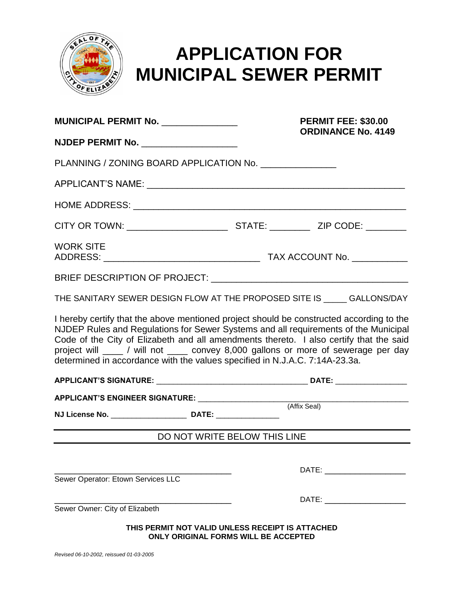

## **APPLICATION FOR MUNICIPAL SEWER PERMIT**

| MUNICIPAL PERMIT No. _____________                                                                                                                                                                                                                                                                                                                                                                                                             | <b>PERMIT FEE: \$30.00</b><br><b>ORDINANCE No. 4149</b>                                         |  |              |                                                                                                                                                                                                                                |  |  |  |
|------------------------------------------------------------------------------------------------------------------------------------------------------------------------------------------------------------------------------------------------------------------------------------------------------------------------------------------------------------------------------------------------------------------------------------------------|-------------------------------------------------------------------------------------------------|--|--------------|--------------------------------------------------------------------------------------------------------------------------------------------------------------------------------------------------------------------------------|--|--|--|
| NJDEP PERMIT No. _____________________                                                                                                                                                                                                                                                                                                                                                                                                         |                                                                                                 |  |              |                                                                                                                                                                                                                                |  |  |  |
| PLANNING / ZONING BOARD APPLICATION No. ______________                                                                                                                                                                                                                                                                                                                                                                                         |                                                                                                 |  |              |                                                                                                                                                                                                                                |  |  |  |
|                                                                                                                                                                                                                                                                                                                                                                                                                                                |                                                                                                 |  |              |                                                                                                                                                                                                                                |  |  |  |
|                                                                                                                                                                                                                                                                                                                                                                                                                                                |                                                                                                 |  |              |                                                                                                                                                                                                                                |  |  |  |
|                                                                                                                                                                                                                                                                                                                                                                                                                                                |                                                                                                 |  |              |                                                                                                                                                                                                                                |  |  |  |
| <b>WORK SITE</b>                                                                                                                                                                                                                                                                                                                                                                                                                               |                                                                                                 |  |              |                                                                                                                                                                                                                                |  |  |  |
|                                                                                                                                                                                                                                                                                                                                                                                                                                                |                                                                                                 |  |              |                                                                                                                                                                                                                                |  |  |  |
| THE SANITARY SEWER DESIGN FLOW AT THE PROPOSED SITE IS _____ GALLONS/DAY                                                                                                                                                                                                                                                                                                                                                                       |                                                                                                 |  |              |                                                                                                                                                                                                                                |  |  |  |
| I hereby certify that the above mentioned project should be constructed according to the<br>NJDEP Rules and Regulations for Sewer Systems and all requirements of the Municipal<br>Code of the City of Elizabeth and all amendments thereto. I also certify that the said<br>project will ____ / will not ____ convey 8,000 gallons or more of sewerage per day<br>determined in accordance with the values specified in N.J.A.C. 7:14A-23.3a. |                                                                                                 |  |              |                                                                                                                                                                                                                                |  |  |  |
|                                                                                                                                                                                                                                                                                                                                                                                                                                                |                                                                                                 |  |              |                                                                                                                                                                                                                                |  |  |  |
| APPLICANT'S ENGINEER SIGNATURE: _______________________                                                                                                                                                                                                                                                                                                                                                                                        |                                                                                                 |  |              |                                                                                                                                                                                                                                |  |  |  |
|                                                                                                                                                                                                                                                                                                                                                                                                                                                |                                                                                                 |  | (Affix Seal) |                                                                                                                                                                                                                                |  |  |  |
|                                                                                                                                                                                                                                                                                                                                                                                                                                                | DO NOT WRITE BELOW THIS LINE                                                                    |  |              |                                                                                                                                                                                                                                |  |  |  |
|                                                                                                                                                                                                                                                                                                                                                                                                                                                |                                                                                                 |  |              |                                                                                                                                                                                                                                |  |  |  |
| Sewer Operator: Etown Services LLC                                                                                                                                                                                                                                                                                                                                                                                                             |                                                                                                 |  |              | DATE: the contract of the contract of the contract of the contract of the contract of the contract of the contract of the contract of the contract of the contract of the contract of the contract of the contract of the cont |  |  |  |
|                                                                                                                                                                                                                                                                                                                                                                                                                                                |                                                                                                 |  |              | DATE: _______________________                                                                                                                                                                                                  |  |  |  |
| Sewer Owner: City of Elizabeth                                                                                                                                                                                                                                                                                                                                                                                                                 |                                                                                                 |  |              |                                                                                                                                                                                                                                |  |  |  |
|                                                                                                                                                                                                                                                                                                                                                                                                                                                | THIS PERMIT NOT VALID UNLESS RECEIPT IS ATTACHED<br><b>ONLY ORIGINAL FORMS WILL BE ACCEPTED</b> |  |              |                                                                                                                                                                                                                                |  |  |  |